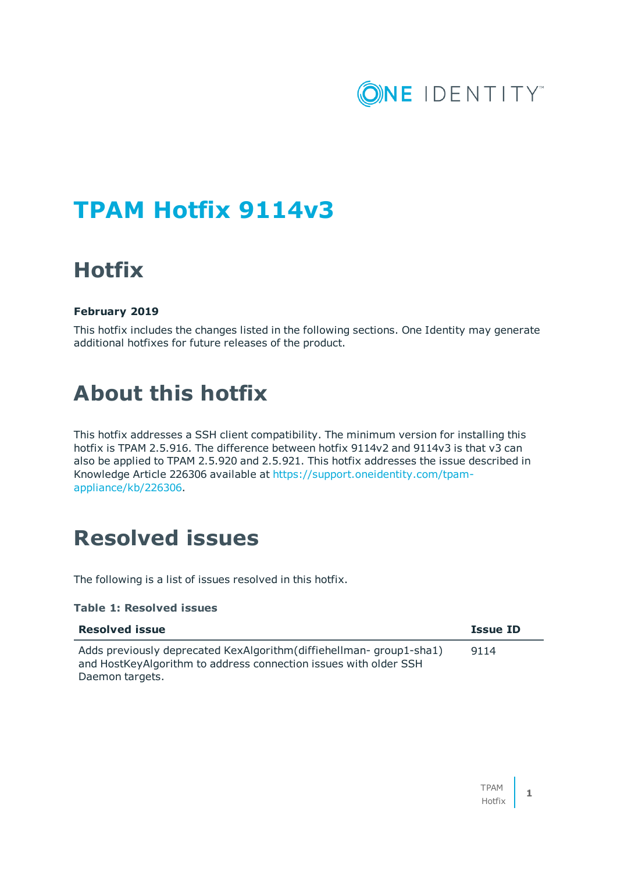

# **TPAM Hotfix 9114v3**

## **Hotfix**

### **February 2019**

This hotfix includes the changes listed in the following sections. One Identity may generate additional hotfixes for future releases of the product.

## **About this hotfix**

This hotfix addresses a SSH client compatibility. The minimum version for installing this hotfix is TPAM 2.5.916. The difference between hotfix 9114v2 and 9114v3 is that v3 can also be applied to TPAM 2.5.920 and 2.5.921. This hotfix addresses the issue described in Knowledge Article 226306 available at [https://support.oneidentity.com/tpam](https://support.oneidentity.com/tpam-appliance/kb/226306)[appliance/kb/226306.](https://support.oneidentity.com/tpam-appliance/kb/226306)

### **Resolved issues**

The following is a list of issues resolved in this hotfix.

### **Table 1: Resolved issues**

| <b>Resolved issue</b>                                                                                                                                      | <b>Issue ID</b> |
|------------------------------------------------------------------------------------------------------------------------------------------------------------|-----------------|
| Adds previously deprecated KexAlgorithm (diffiehellman-group1-sha1)<br>and HostKeyAlgorithm to address connection issues with older SSH<br>Daemon targets. | 9114            |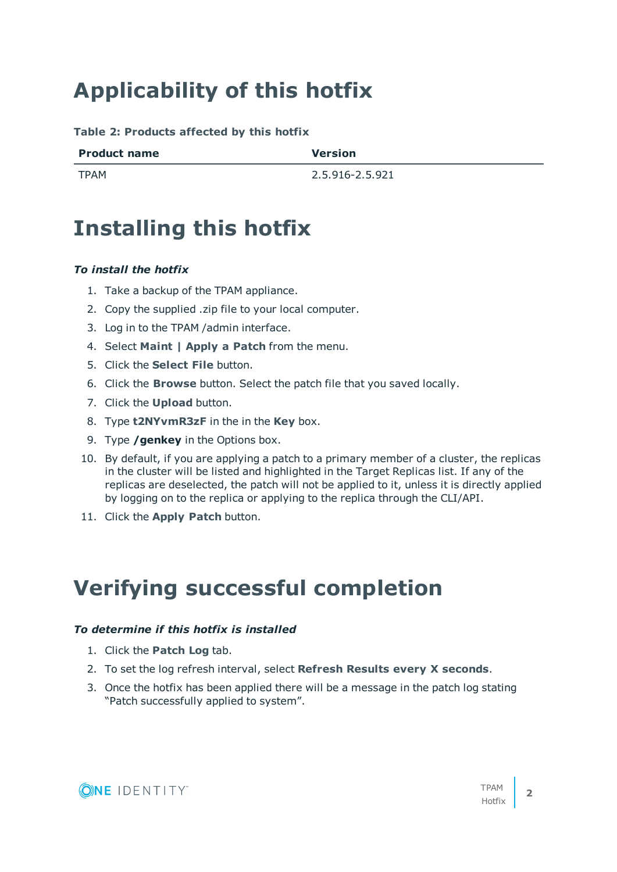# **Applicability of this hotfix**

**Table 2: Products affected by this hotfix**

| <b>Product name</b> | <b>Version</b> |
|---------------------|----------------|
|                     |                |

TPAM 2.5.916-2.5.921

## **Installing this hotfix**

### *To install the hotfix*

- 1. Take a backup of the TPAM appliance.
- 2. Copy the supplied .zip file to your local computer.
- 3. Log in to the TPAM /admin interface.
- 4. Select **Maint | Apply a Patch** from the menu.
- 5. Click the **Select File** button.
- 6. Click the **Browse** button. Select the patch file that you saved locally.
- 7. Click the **Upload** button.
- 8. Type **t2NYvmR3zF** in the in the **Key** box.
- 9. Type **/genkey** in the Options box.
- 10. By default, if you are applying a patch to a primary member of a cluster, the replicas in the cluster will be listed and highlighted in the Target Replicas list. If any of the replicas are deselected, the patch will not be applied to it, unless it is directly applied by logging on to the replica or applying to the replica through the CLI/API.
- 11. Click the **Apply Patch** button.

## **Verifying successful completion**

### *To determine if this hotfix is installed*

- 1. Click the **Patch Log** tab.
- 2. To set the log refresh interval, select **Refresh Results every X seconds**.
- 3. Once the hotfix has been applied there will be a message in the patch log stating "Patch successfully applied to system".

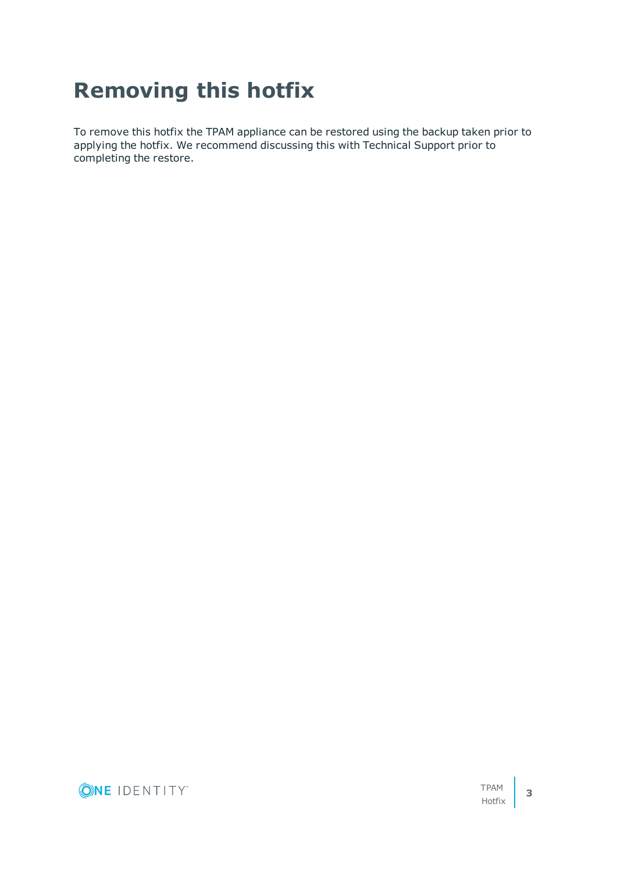# **Removing this hotfix**

To remove this hotfix the TPAM appliance can be restored using the backup taken prior to applying the hotfix. We recommend discussing this with Technical Support prior to completing the restore.

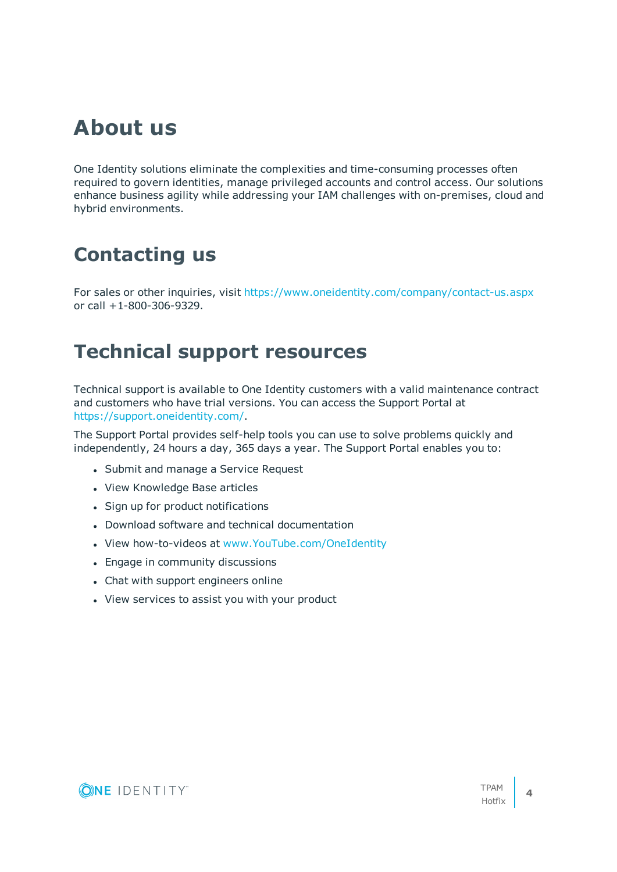## **About us**

One Identity solutions eliminate the complexities and time-consuming processes often required to govern identities, manage privileged accounts and control access. Our solutions enhance business agility while addressing your IAM challenges with on-premises, cloud and hybrid environments.

### **Contacting us**

For sales or other inquiries, visit <https://www.oneidentity.com/company/contact-us.aspx> or call +1-800-306-9329.

### **Technical support resources**

Technical support is available to One Identity customers with a valid maintenance contract and customers who have trial versions. You can access the Support Portal at [https://support.oneidentity.com/.](https://support.oneidentity.com/)

The Support Portal provides self-help tools you can use to solve problems quickly and independently, 24 hours a day, 365 days a year. The Support Portal enables you to:

- Submit and manage a Service Request
- View Knowledge Base articles
- Sign up for product notifications
- Download software and technical documentation
- View how-to-videos at [www.YouTube.com/OneIdentity](http://www.youtube.com/OneIdentity)
- Engage in community discussions
- Chat with support engineers online
- View services to assist you with your product